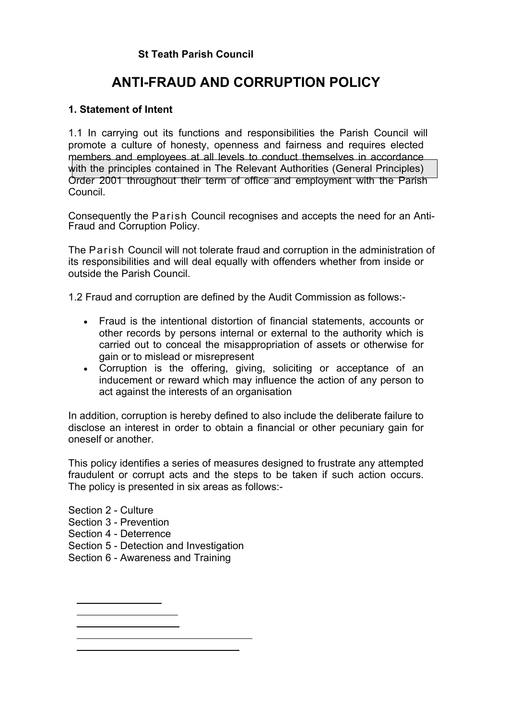# **St Teath Parish Council**

# **ANTI-FRAUD AND CORRUPTION POLICY**

# **1. Statement of Intent**

1.1 In carrying out its functions and responsibilities the Parish Council will promote a culture of honesty, openness and fairness and requires elected members and employees at all levels to conduct themselves in accordance with the principles contained in The Relevant Authorities (General Principles) Order 2001 throughout their term of office and employment with the Parish Council.

Consequently the Parish Council recognises and accepts the need for an Anti-Fraud and Corruption Policy.

The Parish Council will not tolerate fraud and corruption in the administration of its responsibilities and will deal equally with offenders whether from inside or outside the Parish Council.

1.2 Fraud and corruption are defined by the Audit Commission as follows:-

- · Fraud is the intentional distortion of financial statements, accounts or other records by persons internal or external to the authority which is carried out to conceal the misappropriation of assets or otherwise for gain or to mislead or misrepresent
- · Corruption is the offering, giving, soliciting or acceptance of an inducement or reward which may influence the action of any person to act against the interests of an organisation

In addition, corruption is hereby defined to also include the deliberate failure to disclose an interest in order to obtain a financial or other pecuniary gain for oneself or another.

This policy identifies a series of measures designed to frustrate any attempted fraudulent or corrupt acts and the steps to be taken if such action occurs. The policy is presented in six areas as follows:-

Section 2 - Culture Section 3 - Prevention Section 4 - Deterrence Section 5 - Detection and Investigation Section 6 - Awareness and Training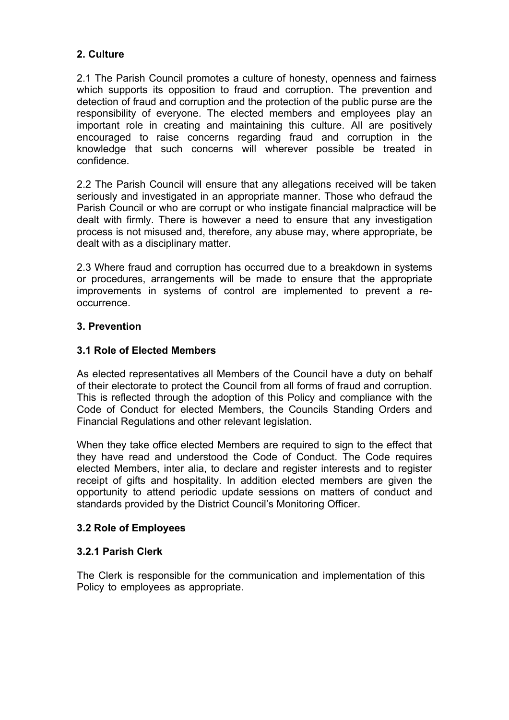# **2. Culture**

2.1 The Parish Council promotes a culture of honesty, openness and fairness which supports its opposition to fraud and corruption. The prevention and detection of fraud and corruption and the protection of the public purse are the responsibility of everyone. The elected members and employees play an important role in creating and maintaining this culture. All are positively encouraged to raise concerns regarding fraud and corruption in the knowledge that such concerns will wherever possible be treated in confidence.

2.2 The Parish Council will ensure that any allegations received will be taken seriously and investigated in an appropriate manner. Those who defraud the Parish Council or who are corrupt or who instigate financial malpractice will be dealt with firmly. There is however a need to ensure that any investigation process is not misused and, therefore, any abuse may, where appropriate, be dealt with as a disciplinary matter.

2.3 Where fraud and corruption has occurred due to a breakdown in systems or procedures, arrangements will be made to ensure that the appropriate improvements in systems of control are implemented to prevent a reoccurrence.

# **3. Prevention**

# **3.1 Role of Elected Members**

As elected representatives all Members of the Council have a duty on behalf of their electorate to protect the Council from all forms of fraud and corruption. This is reflected through the adoption of this Policy and compliance with the Code of Conduct for elected Members, the Councils Standing Orders and Financial Regulations and other relevant legislation.

When they take office elected Members are required to sign to the effect that they have read and understood the Code of Conduct. The Code requires elected Members, inter alia, to declare and register interests and to register receipt of gifts and hospitality. In addition elected members are given the opportunity to attend periodic update sessions on matters of conduct and standards provided by the District Council's Monitoring Officer.

### **3.2 Role of Employees**

### **3.2.1 Parish Clerk**

The Clerk is responsible for the communication and implementation of this Policy to employees as appropriate.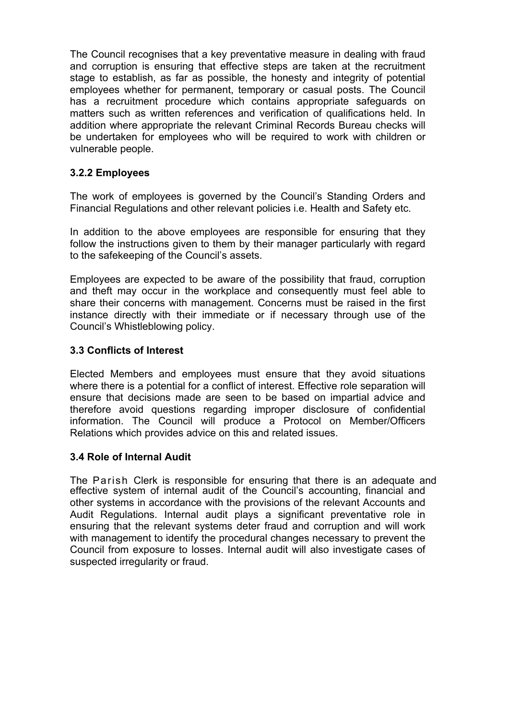The Council recognises that a key preventative measure in dealing with fraud and corruption is ensuring that effective steps are taken at the recruitment stage to establish, as far as possible, the honesty and integrity of potential employees whether for permanent, temporary or casual posts. The Council has a recruitment procedure which contains appropriate safeguards on matters such as written references and verification of qualifications held. In addition where appropriate the relevant Criminal Records Bureau checks will be undertaken for employees who will be required to work with children or vulnerable people.

# **3.2.2 Employees**

The work of employees is governed by the Council's Standing Orders and Financial Regulations and other relevant policies i.e. Health and Safety etc.

In addition to the above employees are responsible for ensuring that they follow the instructions given to them by their manager particularly with regard to the safekeeping of the Council's assets.

Employees are expected to be aware of the possibility that fraud, corruption and theft may occur in the workplace and consequently must feel able to share their concerns with management. Concerns must be raised in the first instance directly with their immediate or if necessary through use of the Council's Whistleblowing policy.

### **3.3 Conflicts of Interest**

Elected Members and employees must ensure that they avoid situations where there is a potential for a conflict of interest. Effective role separation will ensure that decisions made are seen to be based on impartial advice and therefore avoid questions regarding improper disclosure of confidential information. The Council will produce a Protocol on Member/Officers Relations which provides advice on this and related issues.

### **3.4 Role of Internal Audit**

The Parish Clerk is responsible for ensuring that there is an adequate and effective system of internal audit of the Council's accounting, financial and other systems in accordance with the provisions of the relevant Accounts and Audit Regulations. Internal audit plays a significant preventative role in ensuring that the relevant systems deter fraud and corruption and will work with management to identify the procedural changes necessary to prevent the Council from exposure to losses. Internal audit will also investigate cases of suspected irregularity or fraud.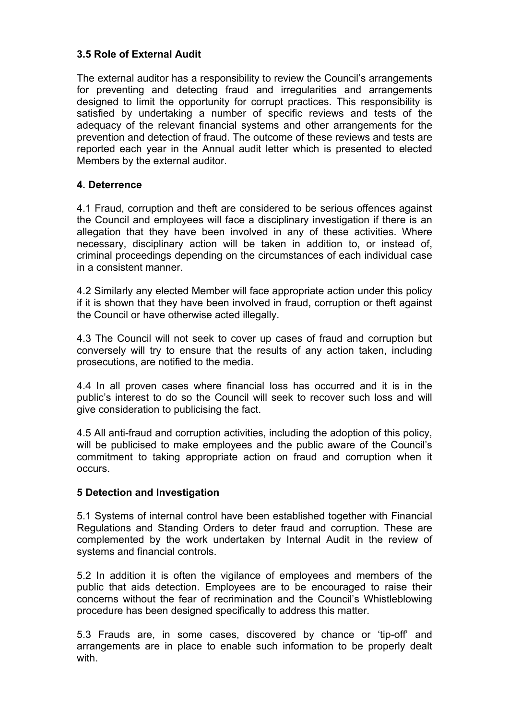# **3.5 Role of External Audit**

The external auditor has a responsibility to review the Council's arrangements for preventing and detecting fraud and irregularities and arrangements designed to limit the opportunity for corrupt practices. This responsibility is satisfied by undertaking a number of specific reviews and tests of the adequacy of the relevant financial systems and other arrangements for the prevention and detection of fraud. The outcome of these reviews and tests are reported each year in the Annual audit letter which is presented to elected Members by the external auditor.

# **4. Deterrence**

4.1 Fraud, corruption and theft are considered to be serious offences against the Council and employees will face a disciplinary investigation if there is an allegation that they have been involved in any of these activities. Where necessary, disciplinary action will be taken in addition to, or instead of, criminal proceedings depending on the circumstances of each individual case in a consistent manner.

4.2 Similarly any elected Member will face appropriate action under this policy if it is shown that they have been involved in fraud, corruption or theft against the Council or have otherwise acted illegally.

4.3 The Council will not seek to cover up cases of fraud and corruption but conversely will try to ensure that the results of any action taken, including prosecutions, are notified to the media.

4.4 In all proven cases where financial loss has occurred and it is in the public's interest to do so the Council will seek to recover such loss and will give consideration to publicising the fact.

4.5 All anti-fraud and corruption activities, including the adoption of this policy, will be publicised to make employees and the public aware of the Council's commitment to taking appropriate action on fraud and corruption when it occurs.

### **5 Detection and Investigation**

5.1 Systems of internal control have been established together with Financial Regulations and Standing Orders to deter fraud and corruption. These are complemented by the work undertaken by Internal Audit in the review of systems and financial controls.

5.2 In addition it is often the vigilance of employees and members of the public that aids detection. Employees are to be encouraged to raise their concerns without the fear of recrimination and the Council's Whistleblowing procedure has been designed specifically to address this matter.

5.3 Frauds are, in some cases, discovered by chance or 'tip-off' and arrangements are in place to enable such information to be properly dealt with.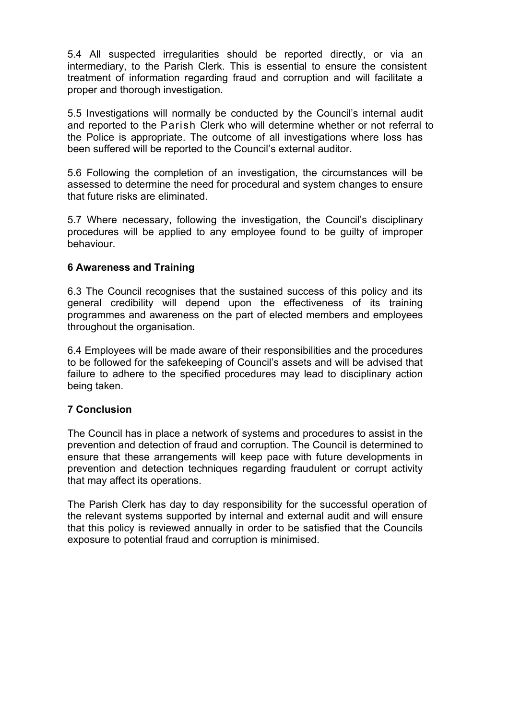5.4 All suspected irregularities should be reported directly, or via an intermediary, to the Parish Clerk. This is essential to ensure the consistent treatment of information regarding fraud and corruption and will facilitate a proper and thorough investigation.

5.5 Investigations will normally be conducted by the Council's internal audit and reported to the Parish Clerk who will determine whether or not referral to the Police is appropriate. The outcome of all investigations where loss has been suffered will be reported to the Council's external auditor.

5.6 Following the completion of an investigation, the circumstances will be assessed to determine the need for procedural and system changes to ensure that future risks are eliminated.

5.7 Where necessary, following the investigation, the Council's disciplinary procedures will be applied to any employee found to be guilty of improper behaviour.

### **6 Awareness and Training**

6.3 The Council recognises that the sustained success of this policy and its general credibility will depend upon the effectiveness of its training programmes and awareness on the part of elected members and employees throughout the organisation.

6.4 Employees will be made aware of their responsibilities and the procedures to be followed for the safekeeping of Council's assets and will be advised that failure to adhere to the specified procedures may lead to disciplinary action being taken.

### **7 Conclusion**

The Council has in place a network of systems and procedures to assist in the prevention and detection of fraud and corruption. The Council is determined to ensure that these arrangements will keep pace with future developments in prevention and detection techniques regarding fraudulent or corrupt activity that may affect its operations.

The Parish Clerk has day to day responsibility for the successful operation of the relevant systems supported by internal and external audit and will ensure that this policy is reviewed annually in order to be satisfied that the Councils exposure to potential fraud and corruption is minimised.